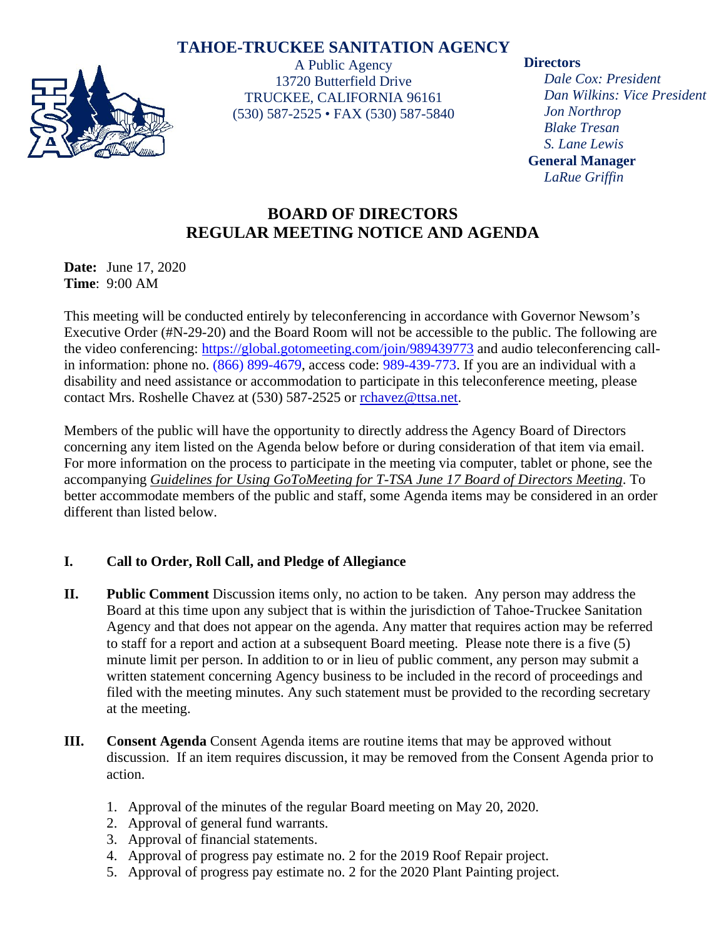# **TAHOE-TRUCKEE SANITATION AGENCY**



A Public Agency 13720 Butterfield Drive TRUCKEE, CALIFORNIA 96161 (530) 587-2525 • FAX (530) 587-5840

#### **Directors**

*Dale Cox: President Dan Wilkins: Vice President Jon Northrop Blake Tresan S. Lane Lewis* **General Manager** *LaRue Griffin*

# **BOARD OF DIRECTORS REGULAR MEETING NOTICE AND AGENDA**

**Date:** June 17, 2020 **Time**: 9:00 AM

This meeting will be conducted entirely by teleconferencing in accordance with Governor Newsom's Executive Order (#N-29-20) and the Board Room will not be accessible to the public. The following are the video conferencing:<https://global.gotomeeting.com/join/989439773> and audio teleconferencing callin information: phone no. (866) 899-4679, access code: 989-439-773. If you are an individual with a disability and need assistance or accommodation to participate in this teleconference meeting, please contact Mrs. Roshelle Chavez at (530) 587-2525 or [rchavez@ttsa.net.](mailto:rchavez@ttsa.net)

Members of the public will have the opportunity to directly address the Agency Board of Directors concerning any item listed on the Agenda below before or during consideration of that item via email. For more information on the process to participate in the meeting via computer, tablet or phone, see the accompanying *Guidelines for Using GoToMeeting for T-TSA June 17 Board of Directors Meeting*. To better accommodate members of the public and staff, some Agenda items may be considered in an order different than listed below.

## **I. Call to Order, Roll Call, and Pledge of Allegiance**

- **II. Public Comment** Discussion items only, no action to be taken. Any person may address the Board at this time upon any subject that is within the jurisdiction of Tahoe-Truckee Sanitation Agency and that does not appear on the agenda. Any matter that requires action may be referred to staff for a report and action at a subsequent Board meeting. Please note there is a five (5) minute limit per person. In addition to or in lieu of public comment, any person may submit a written statement concerning Agency business to be included in the record of proceedings and filed with the meeting minutes. Any such statement must be provided to the recording secretary at the meeting.
- **III. Consent Agenda** Consent Agenda items are routine items that may be approved without discussion. If an item requires discussion, it may be removed from the Consent Agenda prior to action.
	- 1. Approval of the minutes of the regular Board meeting on May 20, 2020.
	- 2. Approval of general fund warrants.
	- 3. Approval of financial statements.
	- 4. Approval of progress pay estimate no. 2 for the 2019 Roof Repair project.
	- 5. Approval of progress pay estimate no. 2 for the 2020 Plant Painting project.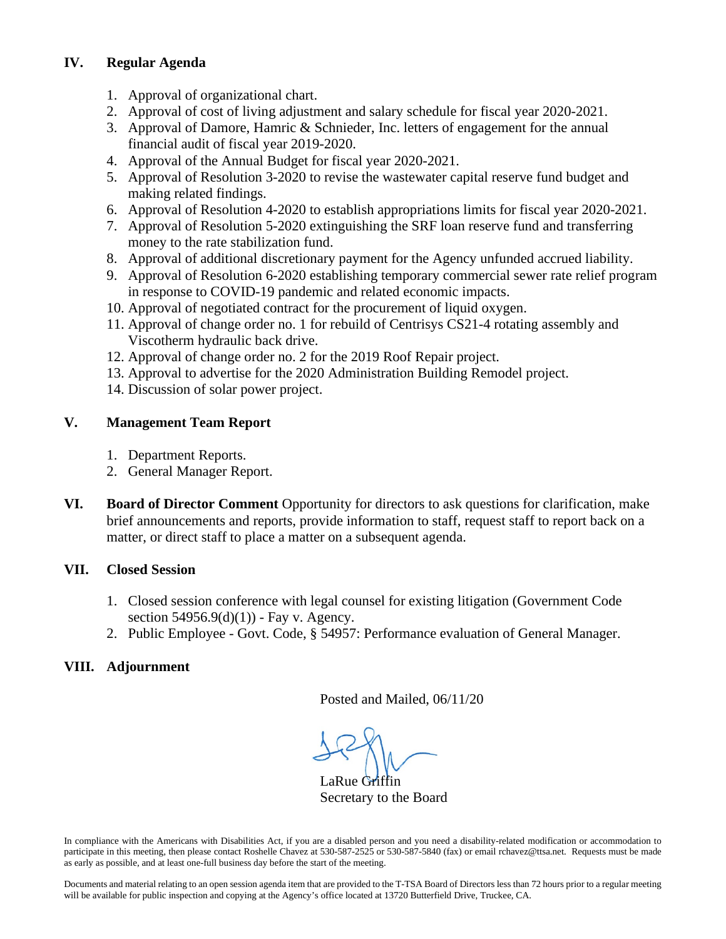## **IV. Regular Agenda**

- 1. Approval of organizational chart.
- 2. Approval of cost of living adjustment and salary schedule for fiscal year 2020-2021.
- 3. Approval of Damore, Hamric & Schnieder, Inc. letters of engagement for the annual financial audit of fiscal year 2019-2020.
- 4. Approval of the Annual Budget for fiscal year 2020-2021.
- 5. Approval of Resolution 3-2020 to revise the wastewater capital reserve fund budget and making related findings.
- 6. Approval of Resolution 4-2020 to establish appropriations limits for fiscal year 2020-2021.
- 7. Approval of Resolution 5-2020 extinguishing the SRF loan reserve fund and transferring money to the rate stabilization fund.
- 8. Approval of additional discretionary payment for the Agency unfunded accrued liability.
- 9. Approval of Resolution 6-2020 establishing temporary commercial sewer rate relief program in response to COVID-19 pandemic and related economic impacts.
- 10. Approval of negotiated contract for the procurement of liquid oxygen.
- 11. Approval of change order no. 1 for rebuild of Centrisys CS21-4 rotating assembly and Viscotherm hydraulic back drive.
- 12. Approval of change order no. 2 for the 2019 Roof Repair project.
- 13. Approval to advertise for the 2020 Administration Building Remodel project.
- 14. Discussion of solar power project.

## **V. Management Team Report**

- 1. Department Reports.
- 2. General Manager Report.
- **VI. Board of Director Comment** Opportunity for directors to ask questions for clarification, make brief announcements and reports, provide information to staff, request staff to report back on a matter, or direct staff to place a matter on a subsequent agenda.

## **VII. Closed Session**

- 1. Closed session conference with legal counsel for existing litigation (Government Code section  $54956.9(d)(1)$  - Fay v. Agency.
- 2. Public Employee Govt. Code, § 54957: Performance evaluation of General Manager.

# **VIII. Adjournment**

Posted and Mailed, 06/11/20

 $\overline{\phantom{a}}$ 

LaRue Griffin Secretary to the Board

In compliance with the Americans with Disabilities Act, if you are a disabled person and you need a disability-related modification or accommodation to participate in this meeting, then please contact Roshelle Chavez at 530-587-2525 or 530-587-5840 (fax) or email rchavez@ttsa.net. Requests must be made as early as possible, and at least one-full business day before the start of the meeting.

Documents and material relating to an open session agenda item that are provided to the T-TSA Board of Directors less than 72 hours prior to a regular meeting will be available for public inspection and copying at the Agency's office located at 13720 Butterfield Drive, Truckee, CA.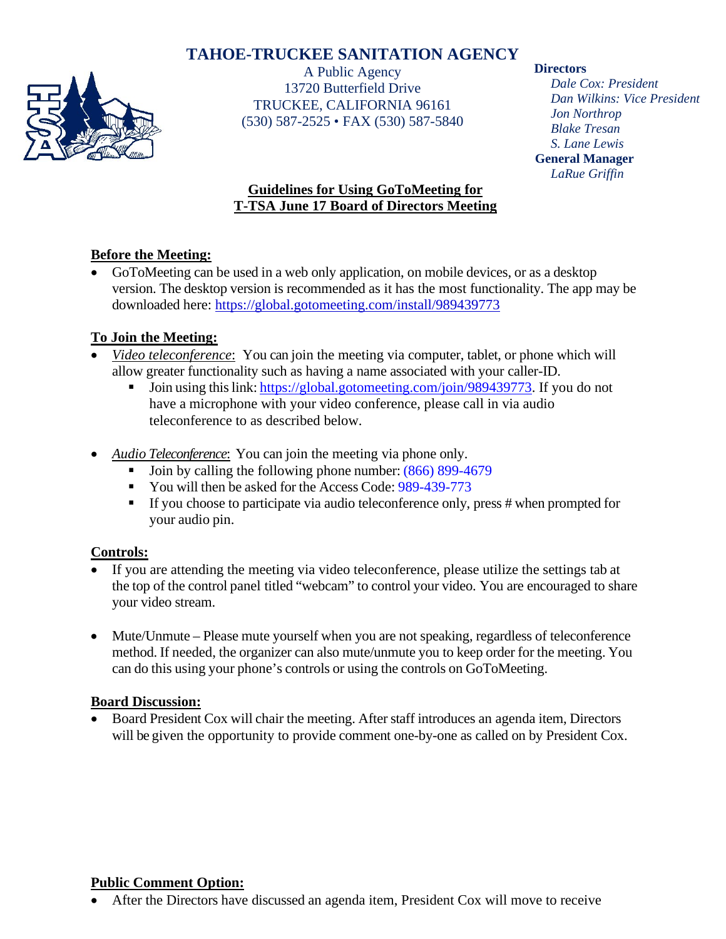# **TAHOE-TRUCKEE SANITATION AGENCY**



A Public Agency 13720 Butterfield Drive TRUCKEE, CALIFORNIA 96161 (530) 587-2525 • FAX (530) 587-5840

#### **Directors**

*Dale Cox: President Dan Wilkins: Vice President Jon Northrop Blake Tresan S. Lane Lewis* **General Manager** *LaRue Griffin*

# **Guidelines for Using GoToMeeting for T-TSA June 17 Board of Directors Meeting**

## **Before the Meeting:**

• GoToMeeting can be used in a web only application, on mobile devices, or as a desktop version. The desktop version is recommended as it has the most functionality. The app may be downloaded here:<https://global.gotomeeting.com/install/989439773>

### **To Join the Meeting:**

- *Video teleconference*: You can join the meeting via computer, tablet, or phone which will allow greater functionality such as having a name associated with your caller-ID.
	- Join using this link: [https://global.gotomeeting.com/join/989439773.](https://global.gotomeeting.com/join/989439773) If you do not have a microphone with your video conference, please call in via audio teleconference to as described below.
- *Audio Teleconference*: You can join the meeting via phone only.
	- Join by calling the following phone number: (866) 899-4679
	- You will then be asked for the Access Code: 989-439-773
	- If you choose to participate via audio teleconference only, press # when prompted for your audio pin.

#### **Controls:**

- If you are attending the meeting via video teleconference, please utilize the settings tab at the top of the control panel titled "webcam" to control your video. You are encouraged to share your video stream.
- Mute/Unmute Please mute yourself when you are not speaking, regardless of teleconference method. If needed, the organizer can also mute/unmute you to keep order for the meeting. You can do this using your phone's controls or using the controls on GoToMeeting.

#### **Board Discussion:**

• Board President Cox will chair the meeting. After staff introduces an agenda item, Directors will be given the opportunity to provide comment one-by-one as called on by President Cox.

#### **Public Comment Option:**

• After the Directors have discussed an agenda item, President Cox will move to receive